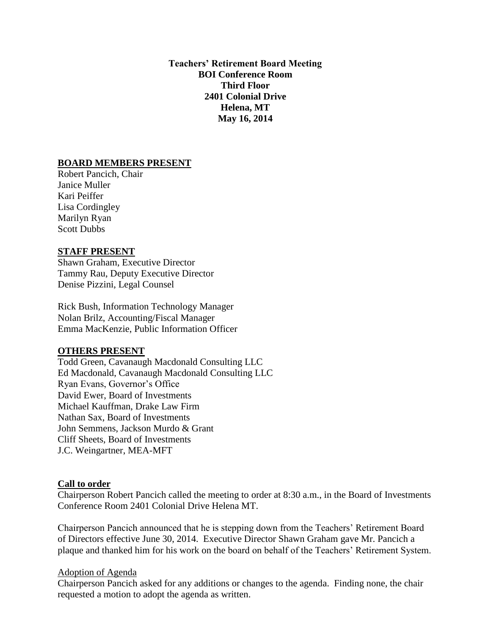**Teachers' Retirement Board Meeting BOI Conference Room Third Floor 2401 Colonial Drive Helena, MT May 16, 2014**

#### **BOARD MEMBERS PRESENT**

Robert Pancich, Chair Janice Muller Kari Peiffer Lisa Cordingley Marilyn Ryan Scott Dubbs

#### **STAFF PRESENT**

Shawn Graham, Executive Director Tammy Rau, Deputy Executive Director Denise Pizzini, Legal Counsel

Rick Bush, Information Technology Manager Nolan Brilz, Accounting/Fiscal Manager Emma MacKenzie, Public Information Officer

#### **OTHERS PRESENT**

Todd Green, Cavanaugh Macdonald Consulting LLC Ed Macdonald, Cavanaugh Macdonald Consulting LLC Ryan Evans, Governor's Office David Ewer, Board of Investments Michael Kauffman, Drake Law Firm Nathan Sax, Board of Investments John Semmens, Jackson Murdo & Grant Cliff Sheets, Board of Investments J.C. Weingartner, MEA-MFT

#### **Call to order**

Chairperson Robert Pancich called the meeting to order at 8:30 a.m., in the Board of Investments Conference Room 2401 Colonial Drive Helena MT.

Chairperson Pancich announced that he is stepping down from the Teachers' Retirement Board of Directors effective June 30, 2014. Executive Director Shawn Graham gave Mr. Pancich a plaque and thanked him for his work on the board on behalf of the Teachers' Retirement System.

#### Adoption of Agenda

Chairperson Pancich asked for any additions or changes to the agenda. Finding none, the chair requested a motion to adopt the agenda as written.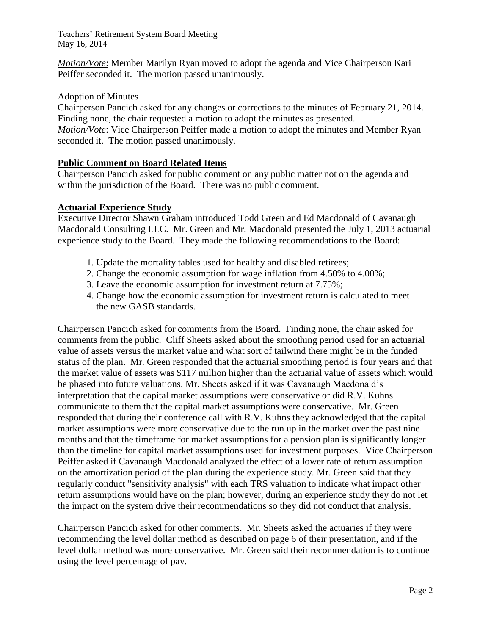*Motion/Vote*: Member Marilyn Ryan moved to adopt the agenda and Vice Chairperson Kari Peiffer seconded it. The motion passed unanimously.

# Adoption of Minutes

Chairperson Pancich asked for any changes or corrections to the minutes of February 21, 2014. Finding none, the chair requested a motion to adopt the minutes as presented. *Motion/Vote*: Vice Chairperson Peiffer made a motion to adopt the minutes and Member Ryan seconded it. The motion passed unanimously.

# **Public Comment on Board Related Items**

Chairperson Pancich asked for public comment on any public matter not on the agenda and within the jurisdiction of the Board. There was no public comment.

# **Actuarial Experience Study**

Executive Director Shawn Graham introduced Todd Green and Ed Macdonald of Cavanaugh Macdonald Consulting LLC. Mr. Green and Mr. Macdonald presented the July 1, 2013 actuarial experience study to the Board. They made the following recommendations to the Board:

- 1. Update the mortality tables used for healthy and disabled retirees;
- 2. Change the economic assumption for wage inflation from 4.50% to 4.00%;
- 3. Leave the economic assumption for investment return at 7.75%;
- 4. Change how the economic assumption for investment return is calculated to meet the new GASB standards.

Chairperson Pancich asked for comments from the Board. Finding none, the chair asked for comments from the public. Cliff Sheets asked about the smoothing period used for an actuarial value of assets versus the market value and what sort of tailwind there might be in the funded status of the plan. Mr. Green responded that the actuarial smoothing period is four years and that the market value of assets was \$117 million higher than the actuarial value of assets which would be phased into future valuations. Mr. Sheets asked if it was Cavanaugh Macdonald's interpretation that the capital market assumptions were conservative or did R.V. Kuhns communicate to them that the capital market assumptions were conservative. Mr. Green responded that during their conference call with R.V. Kuhns they acknowledged that the capital market assumptions were more conservative due to the run up in the market over the past nine months and that the timeframe for market assumptions for a pension plan is significantly longer than the timeline for capital market assumptions used for investment purposes. Vice Chairperson Peiffer asked if Cavanaugh Macdonald analyzed the effect of a lower rate of return assumption on the amortization period of the plan during the experience study. Mr. Green said that they regularly conduct "sensitivity analysis" with each TRS valuation to indicate what impact other return assumptions would have on the plan; however, during an experience study they do not let the impact on the system drive their recommendations so they did not conduct that analysis.

Chairperson Pancich asked for other comments. Mr. Sheets asked the actuaries if they were recommending the level dollar method as described on page 6 of their presentation, and if the level dollar method was more conservative. Mr. Green said their recommendation is to continue using the level percentage of pay.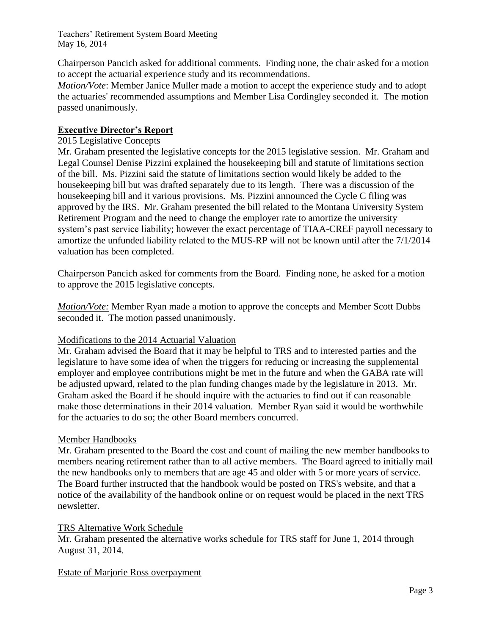Chairperson Pancich asked for additional comments. Finding none, the chair asked for a motion to accept the actuarial experience study and its recommendations.

*Motion/Vote*: Member Janice Muller made a motion to accept the experience study and to adopt the actuaries' recommended assumptions and Member Lisa Cordingley seconded it. The motion passed unanimously.

# **Executive Director's Report**

# 2015 Legislative Concepts

Mr. Graham presented the legislative concepts for the 2015 legislative session. Mr. Graham and Legal Counsel Denise Pizzini explained the housekeeping bill and statute of limitations section of the bill. Ms. Pizzini said the statute of limitations section would likely be added to the housekeeping bill but was drafted separately due to its length. There was a discussion of the housekeeping bill and it various provisions. Ms. Pizzini announced the Cycle C filing was approved by the IRS. Mr. Graham presented the bill related to the Montana University System Retirement Program and the need to change the employer rate to amortize the university system's past service liability; however the exact percentage of TIAA-CREF payroll necessary to amortize the unfunded liability related to the MUS-RP will not be known until after the 7/1/2014 valuation has been completed.

Chairperson Pancich asked for comments from the Board. Finding none, he asked for a motion to approve the 2015 legislative concepts.

*Motion/Vote:* Member Ryan made a motion to approve the concepts and Member Scott Dubbs seconded it. The motion passed unanimously.

## Modifications to the 2014 Actuarial Valuation

Mr. Graham advised the Board that it may be helpful to TRS and to interested parties and the legislature to have some idea of when the triggers for reducing or increasing the supplemental employer and employee contributions might be met in the future and when the GABA rate will be adjusted upward, related to the plan funding changes made by the legislature in 2013. Mr. Graham asked the Board if he should inquire with the actuaries to find out if can reasonable make those determinations in their 2014 valuation. Member Ryan said it would be worthwhile for the actuaries to do so; the other Board members concurred.

## Member Handbooks

Mr. Graham presented to the Board the cost and count of mailing the new member handbooks to members nearing retirement rather than to all active members. The Board agreed to initially mail the new handbooks only to members that are age 45 and older with 5 or more years of service. The Board further instructed that the handbook would be posted on TRS's website, and that a notice of the availability of the handbook online or on request would be placed in the next TRS newsletter.

## TRS Alternative Work Schedule

Mr. Graham presented the alternative works schedule for TRS staff for June 1, 2014 through August 31, 2014.

## Estate of Marjorie Ross overpayment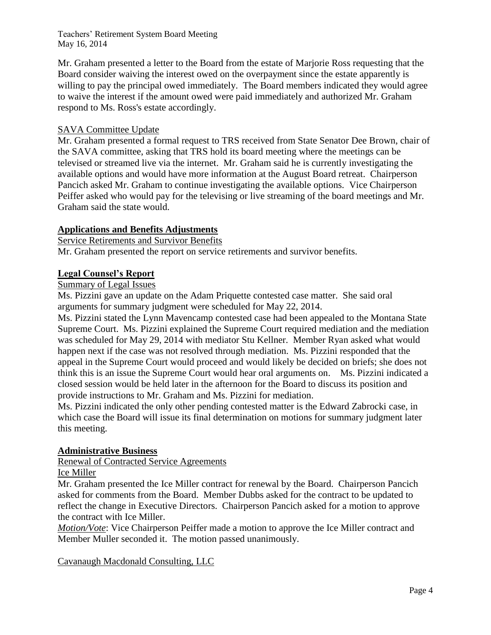Mr. Graham presented a letter to the Board from the estate of Marjorie Ross requesting that the Board consider waiving the interest owed on the overpayment since the estate apparently is willing to pay the principal owed immediately. The Board members indicated they would agree to waive the interest if the amount owed were paid immediately and authorized Mr. Graham respond to Ms. Ross's estate accordingly.

# SAVA Committee Update

Mr. Graham presented a formal request to TRS received from State Senator Dee Brown, chair of the SAVA committee, asking that TRS hold its board meeting where the meetings can be televised or streamed live via the internet. Mr. Graham said he is currently investigating the available options and would have more information at the August Board retreat. Chairperson Pancich asked Mr. Graham to continue investigating the available options. Vice Chairperson Peiffer asked who would pay for the televising or live streaming of the board meetings and Mr. Graham said the state would.

## **Applications and Benefits Adjustments**

Service Retirements and Survivor Benefits

Mr. Graham presented the report on service retirements and survivor benefits.

## **Legal Counsel's Report**

# Summary of Legal Issues

Ms. Pizzini gave an update on the Adam Priquette contested case matter. She said oral arguments for summary judgment were scheduled for May 22, 2014.

Ms. Pizzini stated the Lynn Mavencamp contested case had been appealed to the Montana State Supreme Court. Ms. Pizzini explained the Supreme Court required mediation and the mediation was scheduled for May 29, 2014 with mediator Stu Kellner. Member Ryan asked what would happen next if the case was not resolved through mediation. Ms. Pizzini responded that the appeal in the Supreme Court would proceed and would likely be decided on briefs; she does not think this is an issue the Supreme Court would hear oral arguments on. Ms. Pizzini indicated a closed session would be held later in the afternoon for the Board to discuss its position and provide instructions to Mr. Graham and Ms. Pizzini for mediation.

Ms. Pizzini indicated the only other pending contested matter is the Edward Zabrocki case, in which case the Board will issue its final determination on motions for summary judgment later this meeting.

## **Administrative Business**

Renewal of Contracted Service Agreements Ice Miller

Mr. Graham presented the Ice Miller contract for renewal by the Board. Chairperson Pancich asked for comments from the Board. Member Dubbs asked for the contract to be updated to reflect the change in Executive Directors. Chairperson Pancich asked for a motion to approve the contract with Ice Miller.

*Motion/Vote*: Vice Chairperson Peiffer made a motion to approve the Ice Miller contract and Member Muller seconded it. The motion passed unanimously.

Cavanaugh Macdonald Consulting, LLC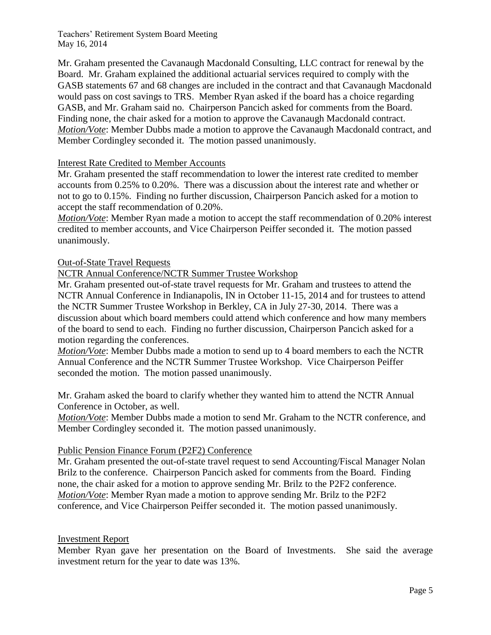Mr. Graham presented the Cavanaugh Macdonald Consulting, LLC contract for renewal by the Board. Mr. Graham explained the additional actuarial services required to comply with the GASB statements 67 and 68 changes are included in the contract and that Cavanaugh Macdonald would pass on cost savings to TRS. Member Ryan asked if the board has a choice regarding GASB, and Mr. Graham said no. Chairperson Pancich asked for comments from the Board. Finding none, the chair asked for a motion to approve the Cavanaugh Macdonald contract. *Motion/Vote*: Member Dubbs made a motion to approve the Cavanaugh Macdonald contract, and Member Cordingley seconded it. The motion passed unanimously.

## Interest Rate Credited to Member Accounts

Mr. Graham presented the staff recommendation to lower the interest rate credited to member accounts from 0.25% to 0.20%. There was a discussion about the interest rate and whether or not to go to 0.15%. Finding no further discussion, Chairperson Pancich asked for a motion to accept the staff recommendation of 0.20%.

*Motion/Vote*: Member Ryan made a motion to accept the staff recommendation of 0.20% interest credited to member accounts, and Vice Chairperson Peiffer seconded it. The motion passed unanimously.

## Out-of-State Travel Requests

NCTR Annual Conference/NCTR Summer Trustee Workshop

Mr. Graham presented out-of-state travel requests for Mr. Graham and trustees to attend the NCTR Annual Conference in Indianapolis, IN in October 11-15, 2014 and for trustees to attend the NCTR Summer Trustee Workshop in Berkley, CA in July 27-30, 2014. There was a discussion about which board members could attend which conference and how many members of the board to send to each. Finding no further discussion, Chairperson Pancich asked for a motion regarding the conferences.

*Motion/Vote*: Member Dubbs made a motion to send up to 4 board members to each the NCTR Annual Conference and the NCTR Summer Trustee Workshop. Vice Chairperson Peiffer seconded the motion. The motion passed unanimously.

Mr. Graham asked the board to clarify whether they wanted him to attend the NCTR Annual Conference in October, as well.

*Motion/Vote*: Member Dubbs made a motion to send Mr. Graham to the NCTR conference, and Member Cordingley seconded it. The motion passed unanimously.

## Public Pension Finance Forum (P2F2) Conference

Mr. Graham presented the out-of-state travel request to send Accounting/Fiscal Manager Nolan Brilz to the conference. Chairperson Pancich asked for comments from the Board. Finding none, the chair asked for a motion to approve sending Mr. Brilz to the P2F2 conference. *Motion/Vote*: Member Ryan made a motion to approve sending Mr. Brilz to the P2F2 conference, and Vice Chairperson Peiffer seconded it. The motion passed unanimously.

## Investment Report

Member Ryan gave her presentation on the Board of Investments. She said the average investment return for the year to date was 13%.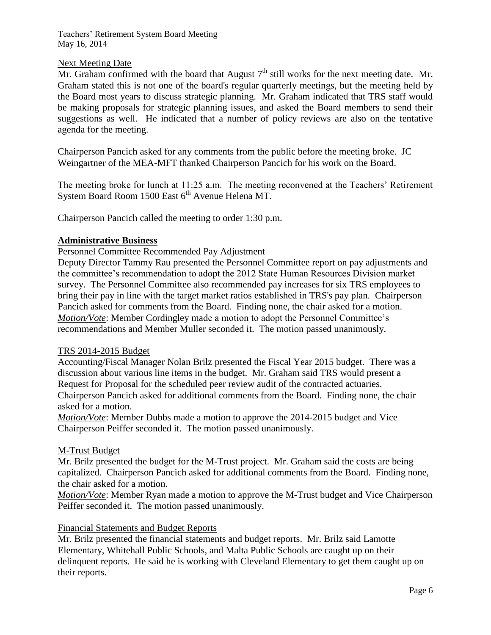## Next Meeting Date

Mr. Graham confirmed with the board that August  $7<sup>th</sup>$  still works for the next meeting date. Mr. Graham stated this is not one of the board's regular quarterly meetings, but the meeting held by the Board most years to discuss strategic planning. Mr. Graham indicated that TRS staff would be making proposals for strategic planning issues, and asked the Board members to send their suggestions as well. He indicated that a number of policy reviews are also on the tentative agenda for the meeting.

Chairperson Pancich asked for any comments from the public before the meeting broke. JC Weingartner of the MEA-MFT thanked Chairperson Pancich for his work on the Board.

The meeting broke for lunch at 11:25 a.m. The meeting reconvened at the Teachers' Retirement System Board Room 1500 East  $6<sup>th</sup>$  Avenue Helena MT.

Chairperson Pancich called the meeting to order 1:30 p.m.

#### **Administrative Business**

Personnel Committee Recommended Pay Adjustment

Deputy Director Tammy Rau presented the Personnel Committee report on pay adjustments and the committee's recommendation to adopt the 2012 State Human Resources Division market survey. The Personnel Committee also recommended pay increases for six TRS employees to bring their pay in line with the target market ratios established in TRS's pay plan. Chairperson Pancich asked for comments from the Board. Finding none, the chair asked for a motion. *Motion/Vote*: Member Cordingley made a motion to adopt the Personnel Committee's recommendations and Member Muller seconded it. The motion passed unanimously.

#### TRS 2014-2015 Budget

Accounting/Fiscal Manager Nolan Brilz presented the Fiscal Year 2015 budget. There was a discussion about various line items in the budget. Mr. Graham said TRS would present a Request for Proposal for the scheduled peer review audit of the contracted actuaries. Chairperson Pancich asked for additional comments from the Board. Finding none, the chair asked for a motion.

*Motion/Vote*: Member Dubbs made a motion to approve the 2014-2015 budget and Vice Chairperson Peiffer seconded it. The motion passed unanimously.

#### M-Trust Budget

Mr. Brilz presented the budget for the M-Trust project. Mr. Graham said the costs are being capitalized. Chairperson Pancich asked for additional comments from the Board. Finding none, the chair asked for a motion.

*Motion/Vote*: Member Ryan made a motion to approve the M-Trust budget and Vice Chairperson Peiffer seconded it. The motion passed unanimously.

#### Financial Statements and Budget Reports

Mr. Brilz presented the financial statements and budget reports. Mr. Brilz said Lamotte Elementary, Whitehall Public Schools, and Malta Public Schools are caught up on their delinquent reports. He said he is working with Cleveland Elementary to get them caught up on their reports.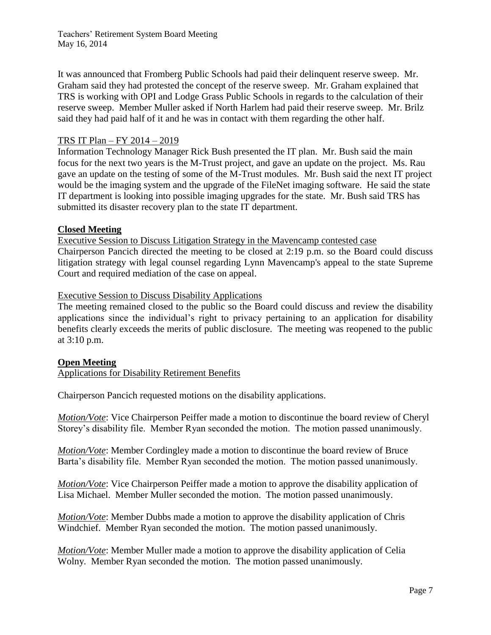It was announced that Fromberg Public Schools had paid their delinquent reserve sweep. Mr. Graham said they had protested the concept of the reserve sweep. Mr. Graham explained that TRS is working with OPI and Lodge Grass Public Schools in regards to the calculation of their reserve sweep. Member Muller asked if North Harlem had paid their reserve sweep. Mr. Brilz said they had paid half of it and he was in contact with them regarding the other half.

## TRS IT Plan – FY 2014 – 2019

Information Technology Manager Rick Bush presented the IT plan. Mr. Bush said the main focus for the next two years is the M-Trust project, and gave an update on the project. Ms. Rau gave an update on the testing of some of the M-Trust modules. Mr. Bush said the next IT project would be the imaging system and the upgrade of the FileNet imaging software. He said the state IT department is looking into possible imaging upgrades for the state. Mr. Bush said TRS has submitted its disaster recovery plan to the state IT department.

#### **Closed Meeting**

Executive Session to Discuss Litigation Strategy in the Mavencamp contested case Chairperson Pancich directed the meeting to be closed at 2:19 p.m. so the Board could discuss litigation strategy with legal counsel regarding Lynn Mavencamp's appeal to the state Supreme Court and required mediation of the case on appeal.

#### Executive Session to Discuss Disability Applications

The meeting remained closed to the public so the Board could discuss and review the disability applications since the individual's right to privacy pertaining to an application for disability benefits clearly exceeds the merits of public disclosure. The meeting was reopened to the public at 3:10 p.m.

#### **Open Meeting**

Applications for Disability Retirement Benefits

Chairperson Pancich requested motions on the disability applications.

*Motion/Vote*: Vice Chairperson Peiffer made a motion to discontinue the board review of Cheryl Storey's disability file. Member Ryan seconded the motion. The motion passed unanimously.

*Motion/Vote*: Member Cordingley made a motion to discontinue the board review of Bruce Barta's disability file. Member Ryan seconded the motion. The motion passed unanimously.

*Motion/Vote*: Vice Chairperson Peiffer made a motion to approve the disability application of Lisa Michael. Member Muller seconded the motion. The motion passed unanimously.

*Motion/Vote*: Member Dubbs made a motion to approve the disability application of Chris Windchief. Member Ryan seconded the motion. The motion passed unanimously.

*Motion/Vote*: Member Muller made a motion to approve the disability application of Celia Wolny. Member Ryan seconded the motion. The motion passed unanimously.